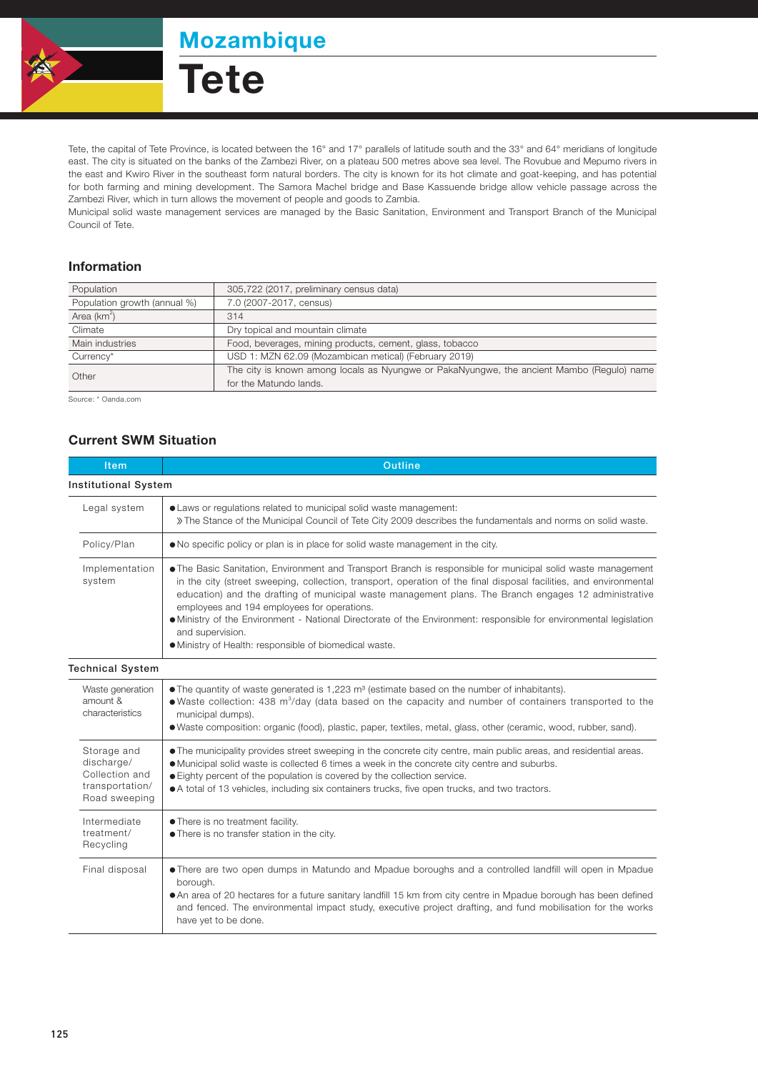

Mozambique

**Tete** 

Tete, the capital of Tete Province, is located between the 16° and 17° parallels of latitude south and the 33° and 64° meridians of longitude east. The city is situated on the banks of the Zambezi River, on a plateau 500 metres above sea level. The Rovubue and Mepumo rivers in the east and Kwiro River in the southeast form natural borders. The city is known for its hot climate and goat-keeping, and has potential for both farming and mining development. The Samora Machel bridge and Base Kassuende bridge allow vehicle passage across the Zambezi River, which in turn allows the movement of people and goods to Zambia.

Municipal solid waste management services are managed by the Basic Sanitation, Environment and Transport Branch of the Municipal Council of Tete.

## Information

| 305,722 (2017, preliminary census data)                                                   |  |  |
|-------------------------------------------------------------------------------------------|--|--|
| 7.0 (2007-2017, census)                                                                   |  |  |
| 314                                                                                       |  |  |
| Dry topical and mountain climate                                                          |  |  |
| Food, beverages, mining products, cement, glass, tobacco                                  |  |  |
| USD 1: MZN 62.09 (Mozambican metical) (February 2019)                                     |  |  |
| The city is known among locals as Nyungwe or PakaNyungwe, the ancient Mambo (Regulo) name |  |  |
| for the Matundo lands.                                                                    |  |  |
|                                                                                           |  |  |

Source: \* Oanda.com

## Current SWM Situation

| Item                                                                            | Outline                                                                                                                                                                                                                                                                                                                                                                                                                                                                                                                                                                                        |  |  |  |
|---------------------------------------------------------------------------------|------------------------------------------------------------------------------------------------------------------------------------------------------------------------------------------------------------------------------------------------------------------------------------------------------------------------------------------------------------------------------------------------------------------------------------------------------------------------------------------------------------------------------------------------------------------------------------------------|--|--|--|
| <b>Institutional System</b>                                                     |                                                                                                                                                                                                                                                                                                                                                                                                                                                                                                                                                                                                |  |  |  |
| Legal system                                                                    | • Laws or regulations related to municipal solid waste management:<br>» The Stance of the Municipal Council of Tete City 2009 describes the fundamentals and norms on solid waste.                                                                                                                                                                                                                                                                                                                                                                                                             |  |  |  |
| Policy/Plan                                                                     | . No specific policy or plan is in place for solid waste management in the city.                                                                                                                                                                                                                                                                                                                                                                                                                                                                                                               |  |  |  |
| Implementation<br>system                                                        | • The Basic Sanitation, Environment and Transport Branch is responsible for municipal solid waste management<br>in the city (street sweeping, collection, transport, operation of the final disposal facilities, and environmental<br>education) and the drafting of municipal waste management plans. The Branch engages 12 administrative<br>employees and 194 employees for operations.<br>• Ministry of the Environment - National Directorate of the Environment: responsible for environmental legislation<br>and supervision.<br>· Ministry of Health: responsible of biomedical waste. |  |  |  |
| <b>Technical System</b>                                                         |                                                                                                                                                                                                                                                                                                                                                                                                                                                                                                                                                                                                |  |  |  |
| Waste generation<br>amount &<br>characteristics                                 | • The quantity of waste generated is $1,223$ m <sup>3</sup> (estimate based on the number of inhabitants).<br>• Waste collection: 438 m <sup>3</sup> /day (data based on the capacity and number of containers transported to the<br>municipal dumps).<br>• Waste composition: organic (food), plastic, paper, textiles, metal, glass, other (ceramic, wood, rubber, sand).                                                                                                                                                                                                                    |  |  |  |
| Storage and<br>discharge/<br>Collection and<br>transportation/<br>Road sweeping | • The municipality provides street sweeping in the concrete city centre, main public areas, and residential areas.<br>• Municipal solid waste is collected 6 times a week in the concrete city centre and suburbs.<br>• Eighty percent of the population is covered by the collection service.<br>• A total of 13 vehicles, including six containers trucks, five open trucks, and two tractors.                                                                                                                                                                                               |  |  |  |
| Intermediate<br>treatment/<br>Recycling                                         | • There is no treatment facility.<br>. There is no transfer station in the city.                                                                                                                                                                                                                                                                                                                                                                                                                                                                                                               |  |  |  |
| Final disposal                                                                  | • There are two open dumps in Matundo and Mpadue boroughs and a controlled landfill will open in Mpadue<br>borough.<br>• An area of 20 hectares for a future sanitary landfill 15 km from city centre in Mpadue borough has been defined<br>and fenced. The environmental impact study, executive project drafting, and fund mobilisation for the works<br>have yet to be done.                                                                                                                                                                                                                |  |  |  |